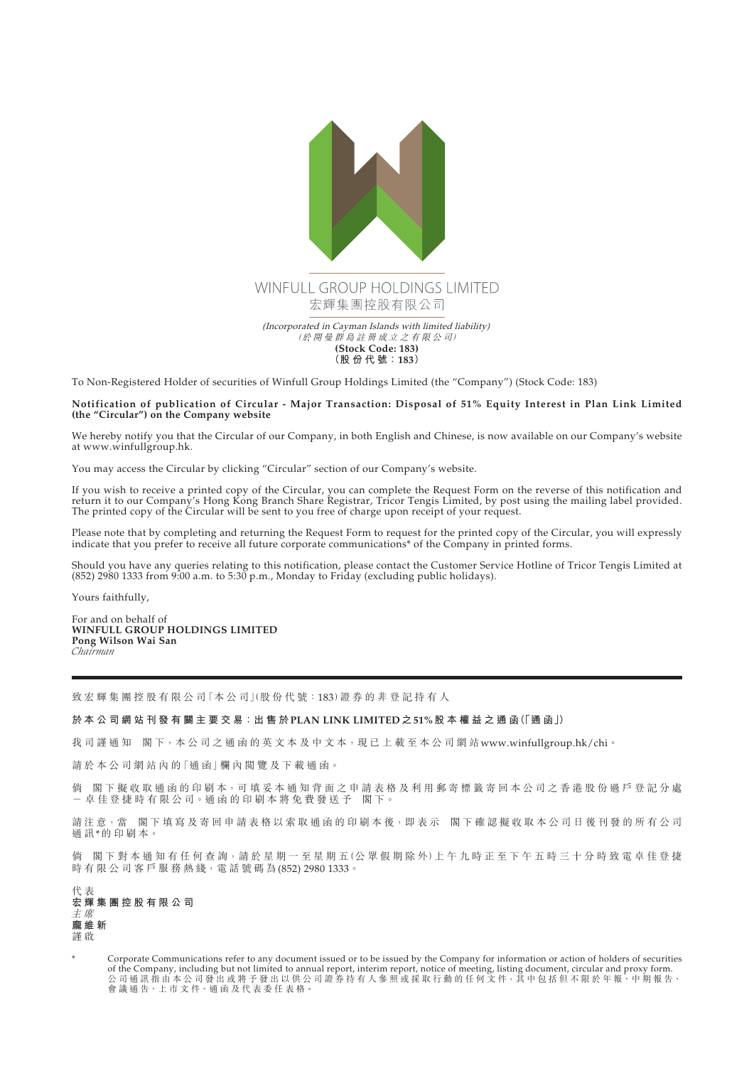

To Non-Registered Holder of securities of Winfull Group Holdings Limited (the "Company") (Stock Code: 183)

## **Notification of publication of Circular - Major Transaction: Disposal of 51% Equity Interest in Plan Link Limited (the "Circular") on the Company website**

We hereby notify you that the Circular of our Company, in both English and Chinese, is now available on our Company's website at www.winfullgroup.hk.

You may access the Circular by clicking "Circular" section of our Company's website.

If you wish to receive a printed copy of the Circular, you can complete the Request Form on the reverse of this notification and return it to our Company's Hong Kong Branch Share Registrar, Tricor Tengis Limited, by post using the mailing label provided. The printed copy of the Circular will be sent to you free of charge upon receipt of your request.

Please note that by completing and returning the Request Form to request for the printed copy of the Circular, you will expressly indicate that you prefer to receive all future corporate communications\* of the Company in printed forms.

Should you have any queries relating to this notification, please contact the Customer Service Hotline of Tricor Tengis Limited at (852) 2980 1333 from 9:00 a.m. to 5:30 p.m., Monday to Friday (excluding public holidays).

Yours faithfully,

For and on behalf of **WINFULL GROUP HOLDINGS LIMITED Pong Wilson Wai San** *Chairman*

致宏輝集團控股有限公司「本公司」(股份代號:183)證券的非登記持有人

**於 本 公 司 網 站 刊 發 有 關 主 要 交 易:出 售 於PLAN LINK LIMITED之51%股本權益之通函(「通 函」)**

我司謹通知 閣下,本公司之通函的英文本及中文本,現已上載至本公司網站www.winfullgroup.hk/chi。

請於本公司網站內的「通函」欄內閱覽及下載通函。

倘 閣下擬收取通函的印刷本,可填妥本通知背面之申請表格及利用郵寄標籤寄回本公司之香港股份過戶登記分處 - 卓 佳 登 捷 時 有 限 公 司。通 函 的 印 刷 本 將 免 費 發 送 予 閣 下。

請注意,當 閣下填寫及寄回申請表格以索取通函的印刷本後,即表示 閣下確認擬收取本公司日後刊發的所有公司 通訊\*的印刷本。

倘 閣下對本通知有任何查詢,請於星期一至星期五(公眾假期除外)上午九時正至下午五時三十分時致電卓佳登捷 時有限公司客戶服務熱綫,電話號碼為(852) 2980 1333。

代 表 **宏輝集團控股有限公司** 主 席 **龐維新** 謹 啟

Corporate Communications refer to any document issued or to be issued by the Company for information or action of holders of securities of the Company, including but not limited to annual report, interim report, notice of meeting, listing document, circular and proxy form.<br>公 司 通 訊 指 由 本 公 司 發 出 或 將 予 發 出 以 供 公 司 證 券 持 有 人 參 照 或 採 取 行 動 的 任 何 文 件,其 中 包 括 但 會議通告、上市文件、通函及代表委任表格。